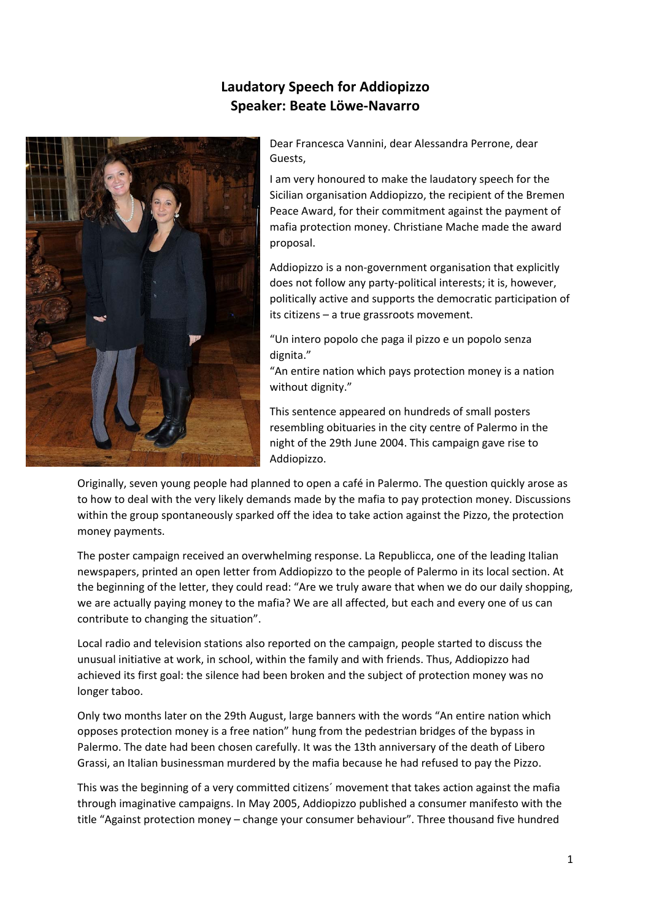## **Laudatory Speech for Addiopizzo Speaker: Beate Löwe‐Navarro**



Dear Francesca Vannini, dear Alessandra Perrone, dear Guests,

I am very honoured to make the laudatory speech for the Sicilian organisation Addiopizzo, the recipient of the Bremen Peace Award, for their commitment against the payment of mafia protection money. Christiane Mache made the award proposal.

Addiopizzo is a non‐government organisation that explicitly does not follow any party‐political interests; it is, however, politically active and supports the democratic participation of its citizens – a true grassroots movement.

"Un intero popolo che paga il pizzo e un popolo senza dignita."

"An entire nation which pays protection money is a nation without dignity."

This sentence appeared on hundreds of small posters resembling obituaries in the city centre of Palermo in the night of the 29th June 2004. This campaign gave rise to Addiopizzo.

Originally, seven young people had planned to open a café in Palermo. The question quickly arose as to how to deal with the very likely demands made by the mafia to pay protection money. Discussions within the group spontaneously sparked off the idea to take action against the Pizzo, the protection money payments.

The poster campaign received an overwhelming response. La Republicca, one of the leading Italian newspapers, printed an open letter from Addiopizzo to the people of Palermo in its local section. At the beginning of the letter, they could read: "Are we truly aware that when we do our daily shopping, we are actually paying money to the mafia? We are all affected, but each and every one of us can contribute to changing the situation".

Local radio and television stations also reported on the campaign, people started to discuss the unusual initiative at work, in school, within the family and with friends. Thus, Addiopizzo had achieved its first goal: the silence had been broken and the subject of protection money was no longer taboo.

Only two months later on the 29th August, large banners with the words "An entire nation which opposes protection money is a free nation" hung from the pedestrian bridges of the bypass in Palermo. The date had been chosen carefully. It was the 13th anniversary of the death of Libero Grassi, an Italian businessman murdered by the mafia because he had refused to pay the Pizzo.

This was the beginning of a very committed citizens´ movement that takes action against the mafia through imaginative campaigns. In May 2005, Addiopizzo published a consumer manifesto with the title "Against protection money – change your consumer behaviour". Three thousand five hundred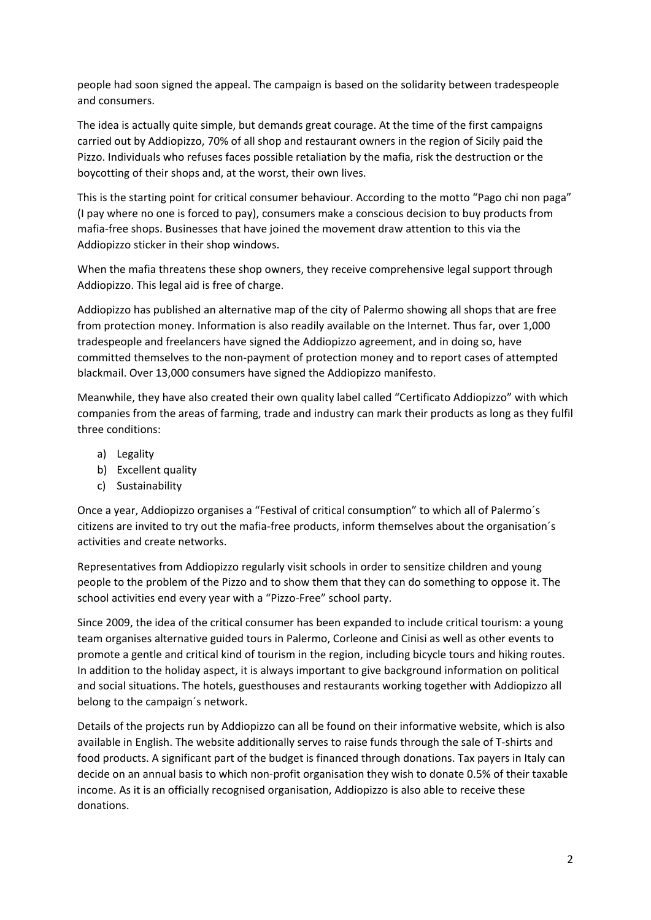people had soon signed the appeal. The campaign is based on the solidarity between tradespeople and consumers.

The idea is actually quite simple, but demands great courage. At the time of the first campaigns carried out by Addiopizzo, 70% of all shop and restaurant owners in the region of Sicily paid the Pizzo. Individuals who refuses faces possible retaliation by the mafia, risk the destruction or the boycotting of their shops and, at the worst, their own lives.

This is the starting point for critical consumer behaviour. According to the motto "Pago chi non paga" (I pay where no one is forced to pay), consumers make a conscious decision to buy products from mafia‐free shops. Businesses that have joined the movement draw attention to this via the Addiopizzo sticker in their shop windows.

When the mafia threatens these shop owners, they receive comprehensive legal support through Addiopizzo. This legal aid is free of charge.

Addiopizzo has published an alternative map of the city of Palermo showing all shops that are free from protection money. Information is also readily available on the Internet. Thus far, over 1,000 tradespeople and freelancers have signed the Addiopizzo agreement, and in doing so, have committed themselves to the non‐payment of protection money and to report cases of attempted blackmail. Over 13,000 consumers have signed the Addiopizzo manifesto.

Meanwhile, they have also created their own quality label called "Certificato Addiopizzo" with which companies from the areas of farming, trade and industry can mark their products as long as they fulfil three conditions:

- a) Legality
- b) Excellent quality
- c) Sustainability

Once a year, Addiopizzo organises a "Festival of critical consumption" to which all of Palermo´s citizens are invited to try out the mafia‐free products, inform themselves about the organisation´s activities and create networks.

Representatives from Addiopizzo regularly visit schools in order to sensitize children and young people to the problem of the Pizzo and to show them that they can do something to oppose it. The school activities end every year with a "Pizzo‐Free" school party.

Since 2009, the idea of the critical consumer has been expanded to include critical tourism: a young team organises alternative guided tours in Palermo, Corleone and Cinisi as well as other events to promote a gentle and critical kind of tourism in the region, including bicycle tours and hiking routes. In addition to the holiday aspect, it is always important to give background information on political and social situations. The hotels, guesthouses and restaurants working together with Addiopizzo all belong to the campaign´s network.

Details of the projects run by Addiopizzo can all be found on their informative website, which is also available in English. The website additionally serves to raise funds through the sale of T‐shirts and food products. A significant part of the budget is financed through donations. Tax payers in Italy can decide on an annual basis to which non‐profit organisation they wish to donate 0.5% of their taxable income. As it is an officially recognised organisation, Addiopizzo is also able to receive these donations.